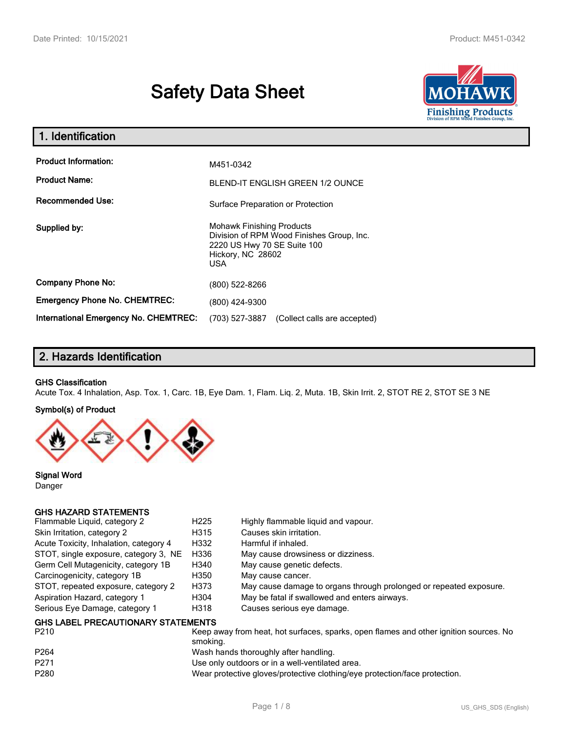# **Safety Data Sheet**



| 1. Identification                                   |                                                                                                                                           |  |
|-----------------------------------------------------|-------------------------------------------------------------------------------------------------------------------------------------------|--|
| <b>Product Information:</b><br><b>Product Name:</b> | M451-0342<br><b>BLEND-IT ENGLISH GREEN 1/2 OUNCE</b>                                                                                      |  |
| <b>Recommended Use:</b>                             | Surface Preparation or Protection                                                                                                         |  |
| Supplied by:                                        | <b>Mohawk Finishing Products</b><br>Division of RPM Wood Finishes Group, Inc.<br>2220 US Hwy 70 SE Suite 100<br>Hickory, NC 28602<br>USA. |  |
| <b>Company Phone No:</b>                            | (800) 522-8266                                                                                                                            |  |
| <b>Emergency Phone No. CHEMTREC:</b>                | (800) 424-9300                                                                                                                            |  |
| <b>International Emergency No. CHEMTREC:</b>        | (703) 527-3887<br>(Collect calls are accepted)                                                                                            |  |

# **2. Hazards Identification**

#### **GHS Classification**

Acute Tox. 4 Inhalation, Asp. Tox. 1, Carc. 1B, Eye Dam. 1, Flam. Liq. 2, Muta. 1B, Skin Irrit. 2, STOT RE 2, STOT SE 3 NE

#### **Symbol(s) of Product**



**Signal Word** Danger

## **GHS HAZARD STATEMENTS**

| Flammable Liquid, category 2                      | H <sub>225</sub> | Highly flammable liquid and vapour.                                |
|---------------------------------------------------|------------------|--------------------------------------------------------------------|
| Skin Irritation, category 2                       | H315             | Causes skin irritation.                                            |
| Acute Toxicity, Inhalation, category 4            | H332             | Harmful if inhaled.                                                |
| STOT, single exposure, category 3, NE             | H336             | May cause drowsiness or dizziness.                                 |
| Germ Cell Mutagenicity, category 1B               | H340             | May cause genetic defects.                                         |
| Carcinogenicity, category 1B                      | H350             | May cause cancer.                                                  |
| STOT, repeated exposure, category 2               | H373             | May cause damage to organs through prolonged or repeated exposure. |
| Aspiration Hazard, category 1                     | H304             | May be fatal if swallowed and enters airways.                      |
| Serious Eye Damage, category 1                    | H318             | Causes serious eye damage.                                         |
| <b>GHS LABEL PRECAUTIONARY STATEMENTS</b><br>---- |                  |                                                                    |

| P210             | Keep away from heat, hot surfaces, sparks, open flames and other ignition sources. No<br>smokina. |
|------------------|---------------------------------------------------------------------------------------------------|
| P <sub>264</sub> | Wash hands thoroughly after handling.                                                             |
| P271             | Use only outdoors or in a well-ventilated area.                                                   |
| P280             | Wear protective gloves/protective clothing/eye protection/face protection.                        |
|                  |                                                                                                   |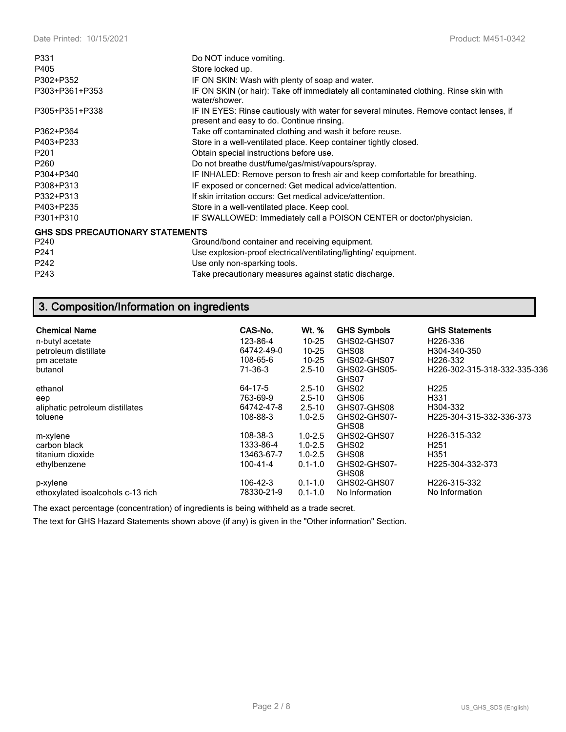| P331                                    | Do NOT induce vomiting.                                                                                                             |
|-----------------------------------------|-------------------------------------------------------------------------------------------------------------------------------------|
| P405                                    | Store locked up.                                                                                                                    |
| P302+P352                               | IF ON SKIN: Wash with plenty of soap and water.                                                                                     |
| P303+P361+P353                          | IF ON SKIN (or hair): Take off immediately all contaminated clothing. Rinse skin with<br>water/shower.                              |
| P305+P351+P338                          | IF IN EYES: Rinse cautiously with water for several minutes. Remove contact lenses, if<br>present and easy to do. Continue rinsing. |
| P362+P364                               | Take off contaminated clothing and wash it before reuse.                                                                            |
| P403+P233                               | Store in a well-ventilated place. Keep container tightly closed.                                                                    |
| P <sub>201</sub>                        | Obtain special instructions before use.                                                                                             |
| P <sub>260</sub>                        | Do not breathe dust/fume/gas/mist/vapours/spray.                                                                                    |
| P304+P340                               | IF INHALED: Remove person to fresh air and keep comfortable for breathing.                                                          |
| P308+P313                               | IF exposed or concerned: Get medical advice/attention.                                                                              |
| P332+P313                               | If skin irritation occurs: Get medical advice/attention.                                                                            |
| P403+P235                               | Store in a well-ventilated place. Keep cool.                                                                                        |
| P301+P310                               | IF SWALLOWED: Immediately call a POISON CENTER or doctor/physician.                                                                 |
| <b>GHS SDS PRECAUTIONARY STATEMENTS</b> |                                                                                                                                     |
| P240                                    | Ground/bond container and receiving equipment.                                                                                      |
| P <sub>241</sub>                        | Use explosion-proof electrical/ventilating/lighting/equipment.                                                                      |
| P242                                    | Use only non-sparking tools.                                                                                                        |
| P243                                    | Take precautionary measures against static discharge.                                                                               |

# **3. Composition/Information on ingredients**

| <b>Chemical Name</b>              | CAS-No.    | Wt. %       | <b>GHS Symbols</b>    | <b>GHS Statements</b>         |
|-----------------------------------|------------|-------------|-----------------------|-------------------------------|
| n-butyl acetate                   | 123-86-4   | $10 - 25$   | GHS02-GHS07           | H226-336                      |
| petroleum distillate              | 64742-49-0 | $10 - 25$   | GHS08                 | H304-340-350                  |
| pm acetate                        | 108-65-6   | $10 - 25$   | GHS02-GHS07           | H <sub>226</sub> -332         |
| butanol                           | 71-36-3    | $2.5 - 10$  | GHS02-GHS05-<br>GHS07 | H226-302-315-318-332-335-336  |
| ethanol                           | 64-17-5    | $2.5 - 10$  | GHS02                 | H <sub>225</sub>              |
| eep                               | 763-69-9   | $2.5 - 10$  | GHS06                 | H <sub>331</sub>              |
| aliphatic petroleum distillates   | 64742-47-8 | $2.5 - 10$  | GHS07-GHS08           | H304-332                      |
| toluene                           | 108-88-3   | $1.0 - 2.5$ | GHS02-GHS07-<br>GHS08 | H225-304-315-332-336-373      |
| m-xylene                          | 108-38-3   | $1.0 - 2.5$ | GHS02-GHS07           | H226-315-332                  |
| carbon black                      | 1333-86-4  | $1.0 - 2.5$ | GHS02                 | H <sub>251</sub>              |
| titanium dioxide                  | 13463-67-7 | $1.0 - 2.5$ | GHS08                 | H <sub>351</sub>              |
| ethylbenzene                      | 100-41-4   | $0.1 - 1.0$ | GHS02-GHS07-<br>GHS08 | H <sub>225</sub> -304-332-373 |
| p-xylene                          | 106-42-3   | $0.1 - 1.0$ | GHS02-GHS07           | H226-315-332                  |
| ethoxylated isoalcohols c-13 rich | 78330-21-9 | $0.1 - 1.0$ | No Information        | No Information                |

The exact percentage (concentration) of ingredients is being withheld as a trade secret.

The text for GHS Hazard Statements shown above (if any) is given in the "Other information" Section.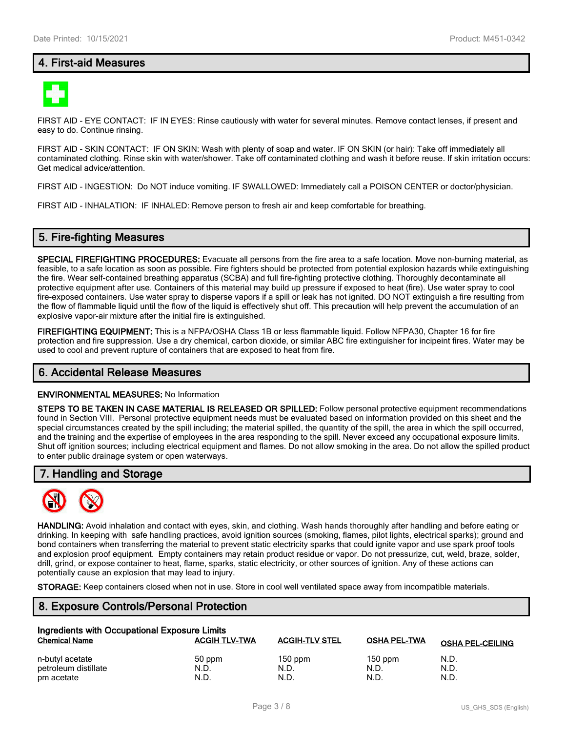## **4. First-aid Measures**



FIRST AID - EYE CONTACT: IF IN EYES: Rinse cautiously with water for several minutes. Remove contact lenses, if present and easy to do. Continue rinsing.

FIRST AID - SKIN CONTACT: IF ON SKIN: Wash with plenty of soap and water. IF ON SKIN (or hair): Take off immediately all contaminated clothing. Rinse skin with water/shower. Take off contaminated clothing and wash it before reuse. If skin irritation occurs: Get medical advice/attention.

FIRST AID - INGESTION: Do NOT induce vomiting. IF SWALLOWED: Immediately call a POISON CENTER or doctor/physician.

FIRST AID - INHALATION: IF INHALED: Remove person to fresh air and keep comfortable for breathing.

## **5. Fire-fighting Measures**

**SPECIAL FIREFIGHTING PROCEDURES:** Evacuate all persons from the fire area to a safe location. Move non-burning material, as feasible, to a safe location as soon as possible. Fire fighters should be protected from potential explosion hazards while extinguishing the fire. Wear self-contained breathing apparatus (SCBA) and full fire-fighting protective clothing. Thoroughly decontaminate all protective equipment after use. Containers of this material may build up pressure if exposed to heat (fire). Use water spray to cool fire-exposed containers. Use water spray to disperse vapors if a spill or leak has not ignited. DO NOT extinguish a fire resulting from the flow of flammable liquid until the flow of the liquid is effectively shut off. This precaution will help prevent the accumulation of an explosive vapor-air mixture after the initial fire is extinguished.

**FIREFIGHTING EQUIPMENT:** This is a NFPA/OSHA Class 1B or less flammable liquid. Follow NFPA30, Chapter 16 for fire protection and fire suppression. Use a dry chemical, carbon dioxide, or similar ABC fire extinguisher for incipeint fires. Water may be used to cool and prevent rupture of containers that are exposed to heat from fire.

#### **6. Accidental Release Measures**

#### **ENVIRONMENTAL MEASURES:** No Information

**STEPS TO BE TAKEN IN CASE MATERIAL IS RELEASED OR SPILLED:** Follow personal protective equipment recommendations found in Section VIII. Personal protective equipment needs must be evaluated based on information provided on this sheet and the special circumstances created by the spill including; the material spilled, the quantity of the spill, the area in which the spill occurred, and the training and the expertise of employees in the area responding to the spill. Never exceed any occupational exposure limits. Shut off ignition sources; including electrical equipment and flames. Do not allow smoking in the area. Do not allow the spilled product to enter public drainage system or open waterways.

#### **7. Handling and Storage**



**HANDLING:** Avoid inhalation and contact with eyes, skin, and clothing. Wash hands thoroughly after handling and before eating or drinking. In keeping with safe handling practices, avoid ignition sources (smoking, flames, pilot lights, electrical sparks); ground and bond containers when transferring the material to prevent static electricity sparks that could ignite vapor and use spark proof tools and explosion proof equipment. Empty containers may retain product residue or vapor. Do not pressurize, cut, weld, braze, solder, drill, grind, or expose container to heat, flame, sparks, static electricity, or other sources of ignition. Any of these actions can potentially cause an explosion that may lead to injury.

**STORAGE:** Keep containers closed when not in use. Store in cool well ventilated space away from incompatible materials.

## **8. Exposure Controls/Personal Protection**

| Ingredients with Occupational Exposure Limits |                      |                       |              |                         |  |  |
|-----------------------------------------------|----------------------|-----------------------|--------------|-------------------------|--|--|
| <b>Chemical Name</b>                          | <b>ACGIH TLV-TWA</b> | <b>ACGIH-TLV STEL</b> | OSHA PEL-TWA | <b>OSHA PEL-CEILING</b> |  |  |
| n-butyl acetate                               | 50 ppm               | $150$ ppm             | $150$ ppm    | N.D.                    |  |  |
| petroleum distillate                          | N.D.                 | N.D.                  | N.D.         | N.D.                    |  |  |
| pm acetate                                    | N.D.                 | N.D.                  | N.D.         | N.D.                    |  |  |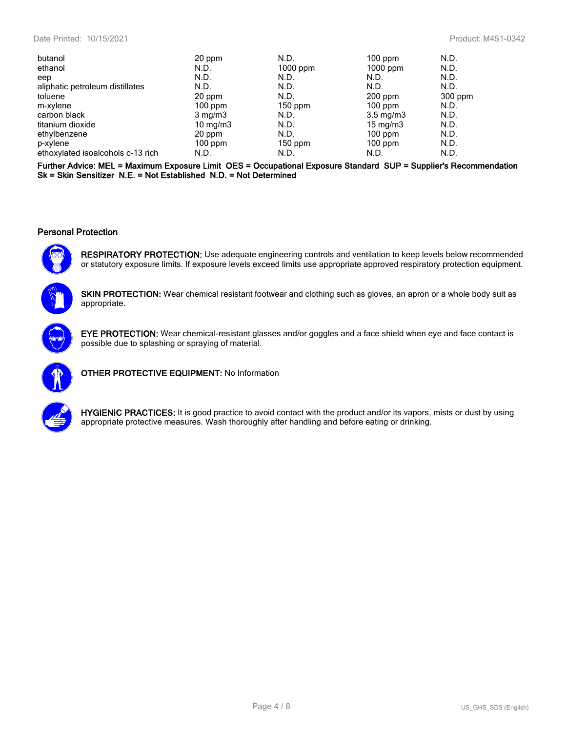| 20 ppm           | N.D.       | $100$ ppm          | N.D.      |
|------------------|------------|--------------------|-----------|
| N.D.             | $1000$ ppm | $1000$ ppm         | N.D.      |
| N.D.             | N.D.       | N.D.               | N.D.      |
| N.D.             | N.D.       | N.D.               | N.D.      |
| 20 ppm           | N.D.       | $200$ ppm          | $300$ ppm |
| $100$ ppm        | $150$ ppm  | $100$ ppm          | N.D.      |
| $3 \text{ mg/m}$ | N.D.       | $3.5 \text{ mg/m}$ | N.D.      |
| 10 $mq/m3$       | N.D.       | 15 mg/m $3$        | N.D.      |
| 20 ppm           | N.D.       | $100$ ppm          | N.D.      |
| $100$ ppm        | $150$ ppm  | $100$ ppm          | N.D.      |
| N.D.             | N.D.       | N.D.               | N.D.      |
|                  |            |                    |           |

**Further Advice: MEL = Maximum Exposure Limit OES = Occupational Exposure Standard SUP = Supplier's Recommendation Sk = Skin Sensitizer N.E. = Not Established N.D. = Not Determined**

#### **Personal Protection**



**RESPIRATORY PROTECTION:** Use adequate engineering controls and ventilation to keep levels below recommended or statutory exposure limits. If exposure levels exceed limits use appropriate approved respiratory protection equipment.

**SKIN PROTECTION:** Wear chemical resistant footwear and clothing such as gloves, an apron or a whole body suit as appropriate.



**EYE PROTECTION:** Wear chemical-resistant glasses and/or goggles and a face shield when eye and face contact is possible due to splashing or spraying of material.



**OTHER PROTECTIVE EQUIPMENT:** No Information



**HYGIENIC PRACTICES:** It is good practice to avoid contact with the product and/or its vapors, mists or dust by using appropriate protective measures. Wash thoroughly after handling and before eating or drinking.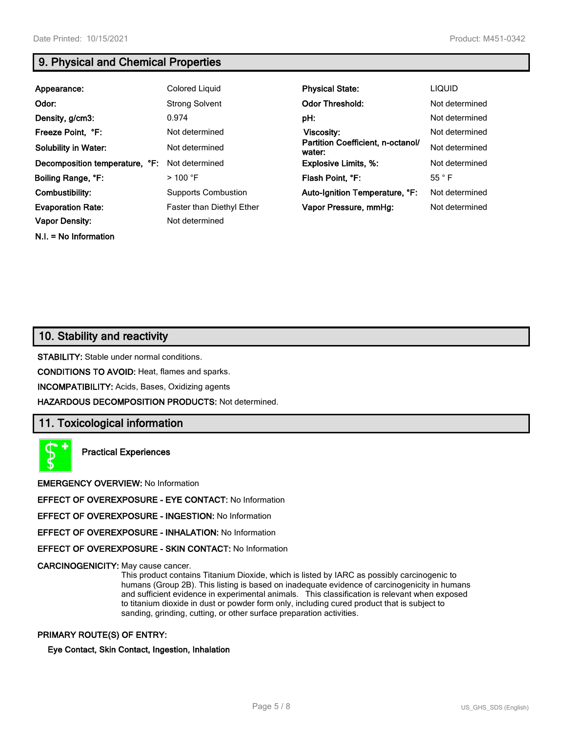**N.I. = No Information**

# **9. Physical and Chemical Properties**

| Appearance:                    | Colored Liquid                   | <b>Physical State:</b>                      | <b>LIQUID</b>  |
|--------------------------------|----------------------------------|---------------------------------------------|----------------|
| Odor:                          | <b>Strong Solvent</b>            | <b>Odor Threshold:</b>                      | Not determined |
| Density, g/cm3:                | 0.974                            | pH:                                         | Not determined |
| Freeze Point, °F:              | Not determined                   | Viscosity:                                  | Not determined |
| <b>Solubility in Water:</b>    | Not determined                   | Partition Coefficient, n-octanol/<br>water: | Not determined |
| Decomposition temperature, °F: | Not determined                   | <b>Explosive Limits, %:</b>                 | Not determined |
| Boiling Range, °F:             | $>$ 100 °F                       | Flash Point, °F:                            | 55 °F          |
| Combustibility:                | <b>Supports Combustion</b>       | Auto-Ignition Temperature, °F:              | Not determined |
| <b>Evaporation Rate:</b>       | <b>Faster than Diethyl Ether</b> | Vapor Pressure, mmHq:                       | Not determined |
| <b>Vapor Density:</b>          | Not determined                   |                                             |                |

# **10. Stability and reactivity**

**STABILITY:** Stable under normal conditions.

**CONDITIONS TO AVOID:** Heat, flames and sparks.

**INCOMPATIBILITY:** Acids, Bases, Oxidizing agents

**HAZARDOUS DECOMPOSITION PRODUCTS:** Not determined.

## **11. Toxicological information**

**Practical Experiences**

**EMERGENCY OVERVIEW:** No Information

**EFFECT OF OVEREXPOSURE - EYE CONTACT:** No Information

**EFFECT OF OVEREXPOSURE - INGESTION:** No Information

**EFFECT OF OVEREXPOSURE - INHALATION:** No Information

**EFFECT OF OVEREXPOSURE - SKIN CONTACT:** No Information

**CARCINOGENICITY:** May cause cancer.

This product contains Titanium Dioxide, which is listed by IARC as possibly carcinogenic to humans (Group 2B). This listing is based on inadequate evidence of carcinogenicity in humans and sufficient evidence in experimental animals. This classification is relevant when exposed to titanium dioxide in dust or powder form only, including cured product that is subject to sanding, grinding, cutting, or other surface preparation activities.

#### **PRIMARY ROUTE(S) OF ENTRY:**

**Eye Contact, Skin Contact, Ingestion, Inhalation**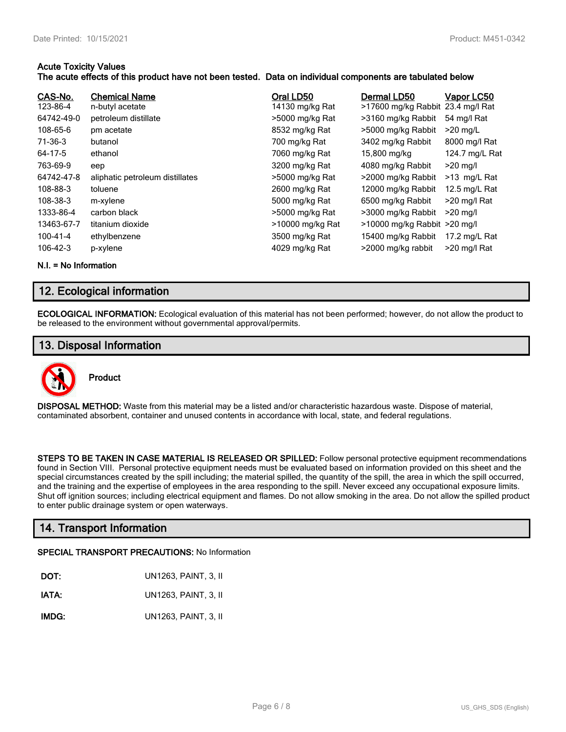#### **Acute Toxicity Values**

### **The acute effects of this product have not been tested. Data on individual components are tabulated below**

| CAS-No.<br>123-86-4<br>64742-49-0<br>108-65-6<br>71-36-3<br>64-17-5<br>763-69-9<br>64742-47-8<br>108-88-3<br>108-38-3<br>1333-86-4 | <b>Chemical Name</b><br>n-butyl acetate<br>petroleum distillate<br>pm acetate<br>butanol<br>ethanol<br>eep<br>aliphatic petroleum distillates<br>toluene<br>m-xylene<br>carbon black | Oral LD50<br>14130 mg/kg Rat<br>>5000 mg/kg Rat<br>8532 mg/kg Rat<br>700 mg/kg Rat<br>7060 mg/kg Rat<br>3200 mg/kg Rat<br>>5000 mg/kg Rat<br>2600 mg/kg Rat<br>5000 mg/kg Rat<br>>5000 mg/kg Rat | Dermal LD50<br>>17600 mg/kg Rabbit 23.4 mg/l Rat<br>>3160 mg/kg Rabbit<br>>5000 mg/kg Rabbit<br>3402 mg/kg Rabbit<br>15,800 mg/kg<br>4080 mg/kg Rabbit<br>>2000 mg/kg Rabbit<br>12000 mg/kg Rabbit<br>6500 mg/kg Rabbit<br>>3000 mg/kg Rabbit | Vapor LC50<br>54 mg/l Rat<br>$>20$ mg/L<br>8000 mg/l Rat<br>124.7 mg/L Rat<br>$>20$ mg/l<br>>13 mg/L Rat<br>12.5 mg/L Rat<br>>20 mg/l Rat<br>$>20$ ma/l |
|------------------------------------------------------------------------------------------------------------------------------------|--------------------------------------------------------------------------------------------------------------------------------------------------------------------------------------|--------------------------------------------------------------------------------------------------------------------------------------------------------------------------------------------------|-----------------------------------------------------------------------------------------------------------------------------------------------------------------------------------------------------------------------------------------------|---------------------------------------------------------------------------------------------------------------------------------------------------------|
| 13463-67-7<br>100-41-4<br>106-42-3                                                                                                 | titanium dioxide<br>ethylbenzene<br>p-xylene                                                                                                                                         | >10000 mg/kg Rat<br>3500 mg/kg Rat<br>4029 mg/kg Rat                                                                                                                                             | $>10000$ mg/kg Rabbit $>20$ mg/l<br>15400 mg/kg Rabbit<br>>2000 mg/kg rabbit                                                                                                                                                                  | 17.2 mg/L Rat<br>>20 mg/l Rat                                                                                                                           |

**N.I. = No Information**

# **12. Ecological information**

**ECOLOGICAL INFORMATION:** Ecological evaluation of this material has not been performed; however, do not allow the product to be released to the environment without governmental approval/permits.

## **13. Disposal Information**



**DISPOSAL METHOD:** Waste from this material may be a listed and/or characteristic hazardous waste. Dispose of material, contaminated absorbent, container and unused contents in accordance with local, state, and federal regulations.

**STEPS TO BE TAKEN IN CASE MATERIAL IS RELEASED OR SPILLED:** Follow personal protective equipment recommendations found in Section VIII. Personal protective equipment needs must be evaluated based on information provided on this sheet and the special circumstances created by the spill including; the material spilled, the quantity of the spill, the area in which the spill occurred, and the training and the expertise of employees in the area responding to the spill. Never exceed any occupational exposure limits. Shut off ignition sources; including electrical equipment and flames. Do not allow smoking in the area. Do not allow the spilled product to enter public drainage system or open waterways.

# **14. Transport Information**

#### **SPECIAL TRANSPORT PRECAUTIONS:** No Information

| DOT:  | UN1263, PAINT, 3, II |
|-------|----------------------|
| IATA: | UN1263, PAINT, 3, II |
| IMDG: | UN1263, PAINT, 3, II |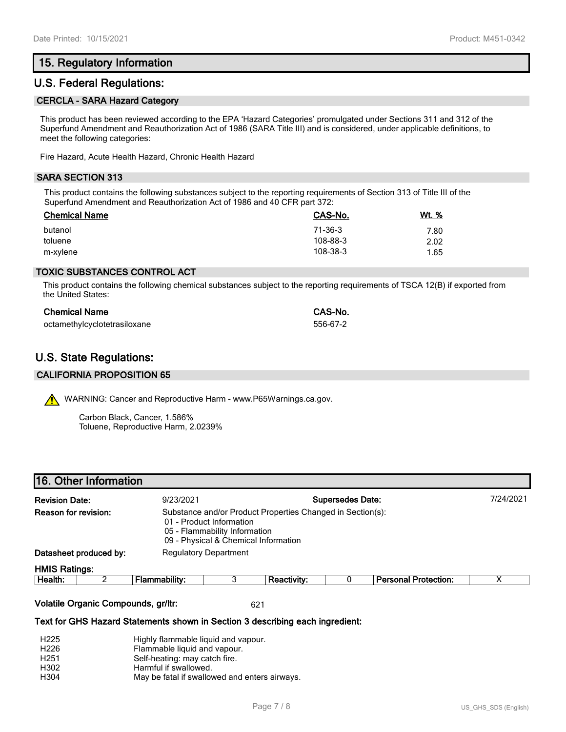## **15. Regulatory Information**

## **U.S. Federal Regulations:**

#### **CERCLA - SARA Hazard Category**

This product has been reviewed according to the EPA 'Hazard Categories' promulgated under Sections 311 and 312 of the Superfund Amendment and Reauthorization Act of 1986 (SARA Title III) and is considered, under applicable definitions, to meet the following categories:

Fire Hazard, Acute Health Hazard, Chronic Health Hazard

#### **SARA SECTION 313**

This product contains the following substances subject to the reporting requirements of Section 313 of Title III of the Superfund Amendment and Reauthorization Act of 1986 and 40 CFR part 372:

| <b>Chemical Name</b> | CAS-No.  | <u>Wt. %</u> |
|----------------------|----------|--------------|
| butanol              | 71-36-3  | 7.80         |
| toluene              | 108-88-3 | 2.02         |
| m-xylene             | 108-38-3 | 1.65         |

#### **TOXIC SUBSTANCES CONTROL ACT**

This product contains the following chemical substances subject to the reporting requirements of TSCA 12(B) if exported from the United States:

| <b>Chemical Name</b>         | CAS-No.  |
|------------------------------|----------|
| octamethylcyclotetrasiloxane | 556-67-2 |

## **U.S. State Regulations:**

#### **CALIFORNIA PROPOSITION 65**

WARNING: Cancer and Reproductive Harm - www.P65Warnings.ca.gov.

Carbon Black, Cancer, 1.586% Toluene, Reproductive Harm, 2.0239%

|                        | 16. Other Information        |  |                    |                                                                                                   |                             |                                                            |
|------------------------|------------------------------|--|--------------------|---------------------------------------------------------------------------------------------------|-----------------------------|------------------------------------------------------------|
| <b>Revision Date:</b>  | 9/23/2021                    |  |                    | <b>Supersedes Date:</b>                                                                           |                             |                                                            |
| Reason for revision:   |                              |  |                    |                                                                                                   |                             |                                                            |
| Datasheet produced by: | <b>Regulatory Department</b> |  |                    |                                                                                                   |                             |                                                            |
| <b>HMIS Ratings:</b>   |                              |  |                    |                                                                                                   |                             |                                                            |
| ⌒                      | Flammability:                |  | <b>Reactivity:</b> |                                                                                                   | <b>Personal Protection:</b> |                                                            |
|                        |                              |  |                    | 01 - Product Information<br>05 - Flammability Information<br>09 - Physical & Chemical Information |                             | Substance and/or Product Properties Changed in Section(s): |

#### **Volatile Organic Compounds, gr/ltr:** 621

#### **Text for GHS Hazard Statements shown in Section 3 describing each ingredient:**

| H <sub>225</sub> | Highly flammable liquid and vapour.           |
|------------------|-----------------------------------------------|
| H <sub>226</sub> | Flammable liquid and vapour.                  |
| H <sub>251</sub> | Self-heating: may catch fire.                 |
| H <sub>302</sub> | Harmful if swallowed.                         |
| H304             | May be fatal if swallowed and enters airways. |